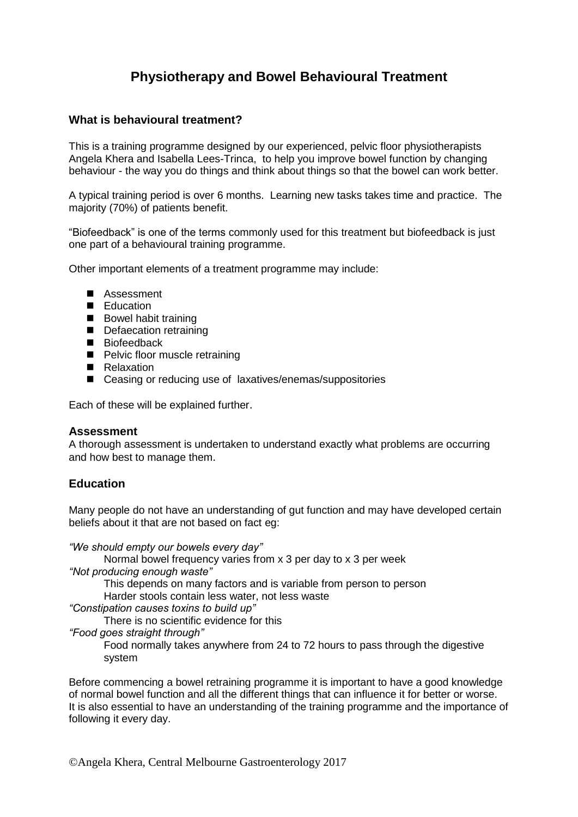# **Physiotherapy and Bowel Behavioural Treatment**

## **What is behavioural treatment?**

This is a training programme designed by our experienced, pelvic floor physiotherapists Angela Khera and Isabella Lees-Trinca, to help you improve bowel function by changing behaviour - the way you do things and think about things so that the bowel can work better.

A typical training period is over 6 months. Learning new tasks takes time and practice. The majority (70%) of patients benefit.

"Biofeedback" is one of the terms commonly used for this treatment but biofeedback is just one part of a behavioural training programme.

Other important elements of a treatment programme may include:

- Assessment
- **Education**
- Bowel habit training
- Defaecation retraining
- Biofeedback
- **Pelvic floor muscle retraining**
- **Relaxation**
- Ceasing or reducing use of laxatives/enemas/suppositories

Each of these will be explained further.

#### **Assessment**

A thorough assessment is undertaken to understand exactly what problems are occurring and how best to manage them.

# **Education**

Many people do not have an understanding of gut function and may have developed certain beliefs about it that are not based on fact eg:

*"We should empty our bowels every day"* 

Normal bowel frequency varies from x 3 per day to x 3 per week *"Not producing enough waste"* 

This depends on many factors and is variable from person to person

Harder stools contain less water, not less waste

*"Constipation causes toxins to build up"*

There is no scientific evidence for this

*"Food goes straight through"* 

Food normally takes anywhere from 24 to 72 hours to pass through the digestive system

Before commencing a bowel retraining programme it is important to have a good knowledge of normal bowel function and all the different things that can influence it for better or worse. It is also essential to have an understanding of the training programme and the importance of following it every day.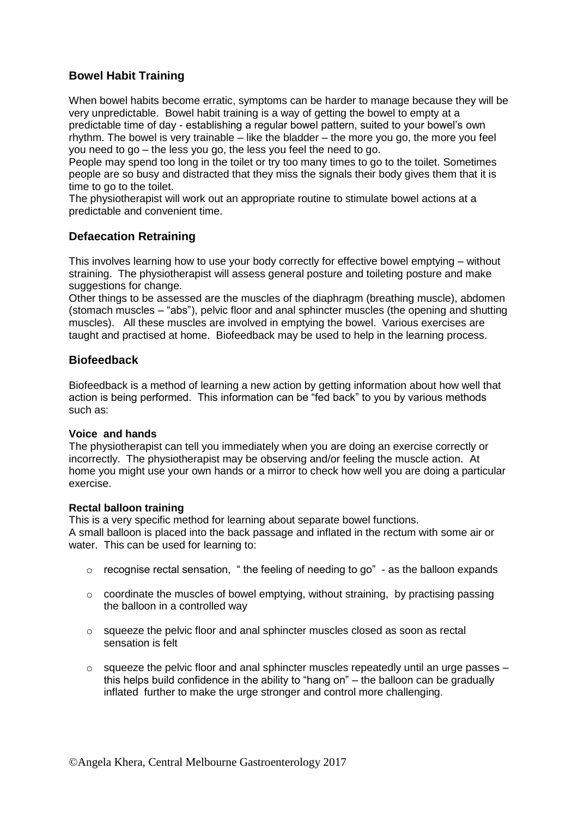# **Bowel Habit Training**

When bowel habits become erratic, symptoms can be harder to manage because they will be very unpredictable. Bowel habit training is a way of getting the bowel to empty at a predictable time of day - establishing a regular bowel pattern, suited to your bowel's own rhythm. The bowel is very trainable – like the bladder – the more you go, the more you feel you need to go – the less you go, the less you feel the need to go.

People may spend too long in the toilet or try too many times to go to the toilet. Sometimes people are so busy and distracted that they miss the signals their body gives them that it is time to go to the toilet.

The physiotherapist will work out an appropriate routine to stimulate bowel actions at a predictable and convenient time.

# **Defaecation Retraining**

This involves learning how to use your body correctly for effective bowel emptying – without straining. The physiotherapist will assess general posture and toileting posture and make suggestions for change.

Other things to be assessed are the muscles of the diaphragm (breathing muscle), abdomen (stomach muscles – "abs"), pelvic floor and anal sphincter muscles (the opening and shutting muscles). All these muscles are involved in emptying the bowel. Various exercises are taught and practised at home. Biofeedback may be used to help in the learning process.

# **Biofeedback**

Biofeedback is a method of learning a new action by getting information about how well that action is being performed. This information can be "fed back" to you by various methods such as:

#### **Voice and hands**

The physiotherapist can tell you immediately when you are doing an exercise correctly or incorrectly. The physiotherapist may be observing and/or feeling the muscle action. At home you might use your own hands or a mirror to check how well you are doing a particular exercise.

#### **Rectal balloon training**

This is a very specific method for learning about separate bowel functions. A small balloon is placed into the back passage and inflated in the rectum with some air or water. This can be used for learning to:

- $\circ$  recognise rectal sensation, " the feeling of needing to go" as the balloon expands
- o coordinate the muscles of bowel emptying, without straining, by practising passing the balloon in a controlled way
- o squeeze the pelvic floor and anal sphincter muscles closed as soon as rectal sensation is felt
- $\circ$  squeeze the pelvic floor and anal sphincter muscles repeatedly until an urge passes this helps build confidence in the ability to "hang on" – the balloon can be gradually inflated further to make the urge stronger and control more challenging.